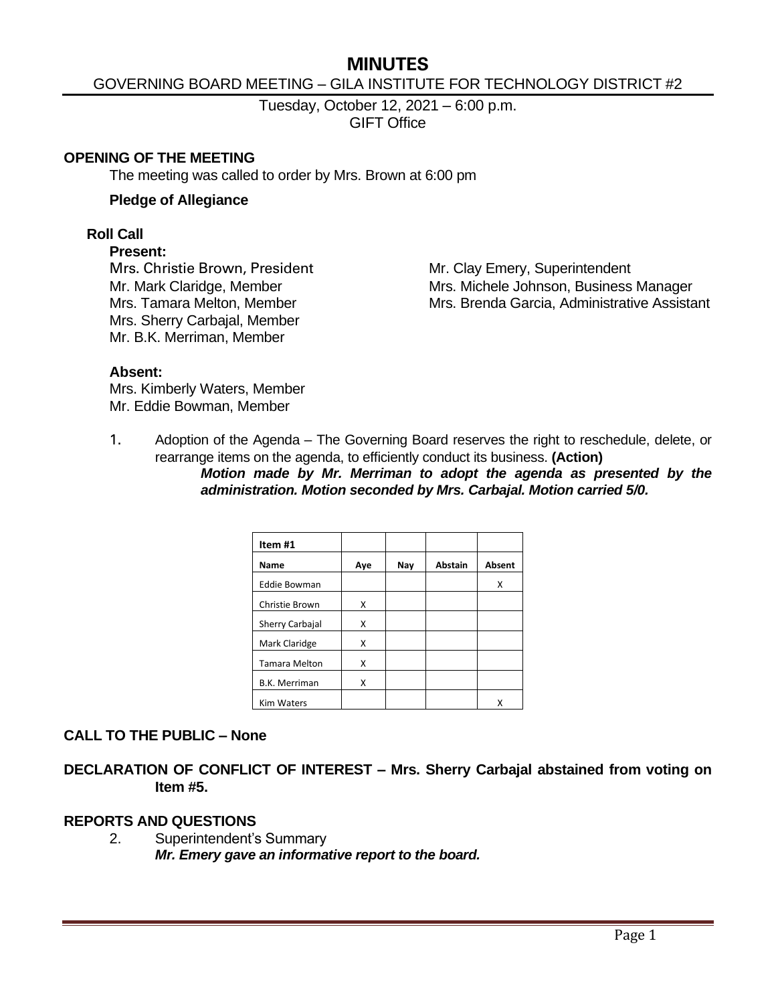# **MINUTES**

### GOVERNING BOARD MEETING – GILA INSTITUTE FOR TECHNOLOGY DISTRICT #2

Tuesday, October 12, 2021 – 6:00 p.m. GIFT Office

#### **OPENING OF THE MEETING**

The meeting was called to order by Mrs. Brown at 6:00 pm

#### **Pledge of Allegiance**

#### **Roll Call**

#### **Present:**

Mrs. Christie Brown, President Mr. Clay Emery, Superintendent Mrs. Sherry Carbajal, Member Mr. B.K. Merriman, Member

Mr. Mark Claridge, Member Mrs. Michele Johnson, Business Manager Mrs. Tamara Melton, Member Mus. Brenda Garcia, Administrative Assistant

#### **Absent:**

Mrs. Kimberly Waters, Member Mr. Eddie Bowman, Member

1. Adoption of the Agenda – The Governing Board reserves the right to reschedule, delete, or rearrange items on the agenda, to efficiently conduct its business. **(Action)**

*Motion made by Mr. Merriman to adopt the agenda as presented by the administration. Motion seconded by Mrs. Carbajal. Motion carried 5/0.*

| Item #1              |     |     |                |               |
|----------------------|-----|-----|----------------|---------------|
| Name                 | Aye | Nay | <b>Abstain</b> | <b>Absent</b> |
| <b>Eddie Bowman</b>  |     |     |                | Χ             |
| Christie Brown       | x   |     |                |               |
| Sherry Carbajal      | X   |     |                |               |
| Mark Claridge        | X   |     |                |               |
| <b>Tamara Melton</b> | X   |     |                |               |
| <b>B.K. Merriman</b> | X   |     |                |               |
| <b>Kim Waters</b>    |     |     |                |               |

### **CALL TO THE PUBLIC – None**

**DECLARATION OF CONFLICT OF INTEREST – Mrs. Sherry Carbajal abstained from voting on Item #5.**

### **REPORTS AND QUESTIONS**

2. Superintendent's Summary *Mr. Emery gave an informative report to the board.*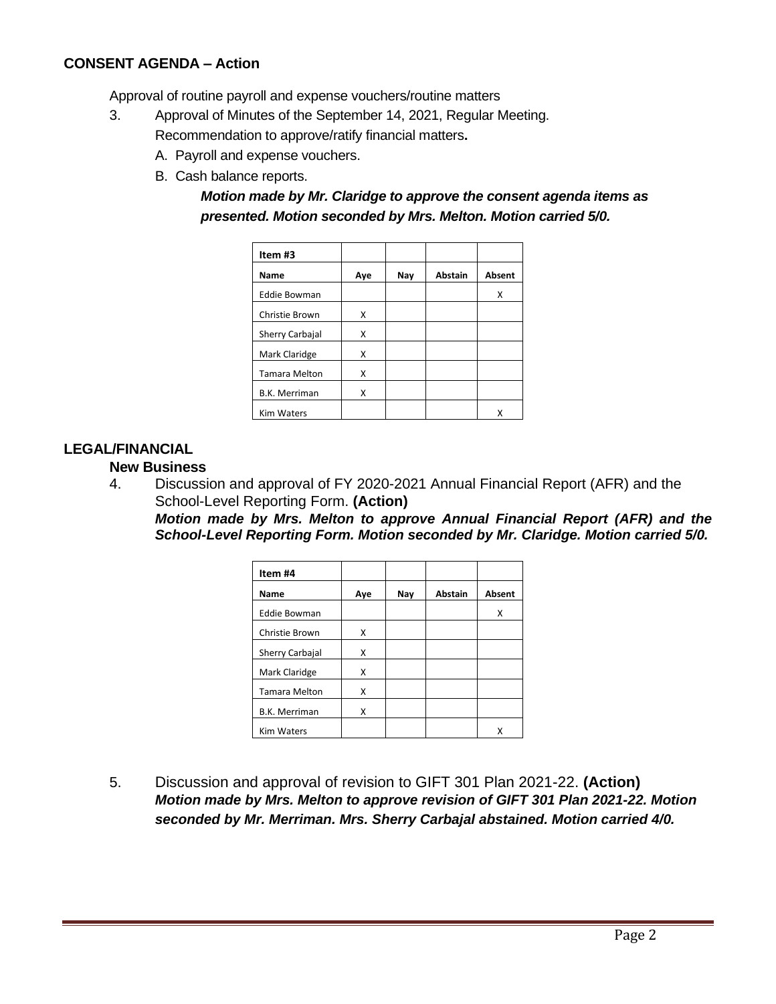## **CONSENT AGENDA – Action**

Approval of routine payroll and expense vouchers/routine matters

- 3. Approval of Minutes of the September 14, 2021, Regular Meeting. Recommendation to approve/ratify financial matters**.**
	- A. Payroll and expense vouchers.
	- B. Cash balance reports.

## *Motion made by Mr. Claridge to approve the consent agenda items as presented. Motion seconded by Mrs. Melton. Motion carried 5/0.*

| Item #3              |     |     |                |               |
|----------------------|-----|-----|----------------|---------------|
| Name                 | Aye | Nay | <b>Abstain</b> | <b>Absent</b> |
| <b>Eddie Bowman</b>  |     |     |                | Χ             |
| Christie Brown       | x   |     |                |               |
| Sherry Carbajal      | X   |     |                |               |
| Mark Claridge        | x   |     |                |               |
| <b>Tamara Melton</b> | x   |     |                |               |
| <b>B.K. Merriman</b> | x   |     |                |               |
| <b>Kim Waters</b>    |     |     |                | x             |

### **LEGAL/FINANCIAL**

### **New Business**

4. Discussion and approval of FY 2020-2021 Annual Financial Report (AFR) and the School-Level Reporting Form. **(Action)**

*Motion made by Mrs. Melton to approve Annual Financial Report (AFR) and the School-Level Reporting Form. Motion seconded by Mr. Claridge. Motion carried 5/0.*

| Item #4              |     |     |         |               |
|----------------------|-----|-----|---------|---------------|
| Name                 | Aye | Nay | Abstain | <b>Absent</b> |
| <b>Eddie Bowman</b>  |     |     |         | x             |
| Christie Brown       | X   |     |         |               |
| Sherry Carbajal      | X   |     |         |               |
| Mark Claridge        | x   |     |         |               |
| <b>Tamara Melton</b> | Χ   |     |         |               |
| <b>B.K. Merriman</b> | x   |     |         |               |
| <b>Kim Waters</b>    |     |     |         |               |

5. Discussion and approval of revision to GIFT 301 Plan 2021-22. **(Action)** *Motion made by Mrs. Melton to approve revision of GIFT 301 Plan 2021-22. Motion seconded by Mr. Merriman. Mrs. Sherry Carbajal abstained. Motion carried 4/0.*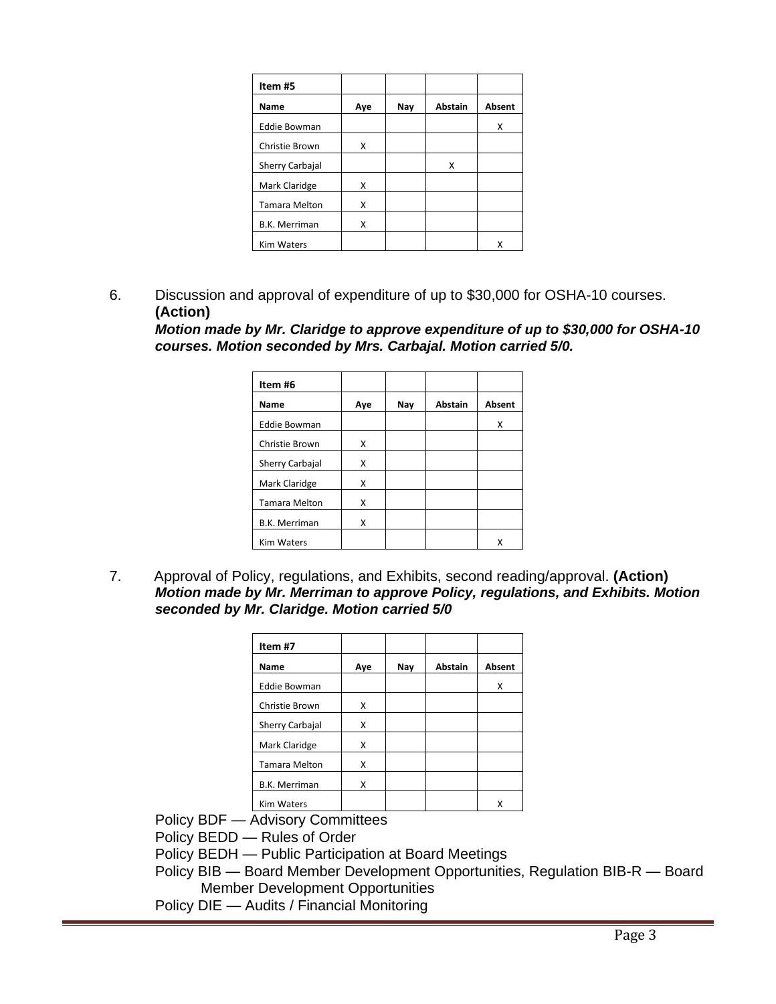| Item #5              |     |     |                |               |
|----------------------|-----|-----|----------------|---------------|
| Name                 | Aye | Nay | <b>Abstain</b> | <b>Absent</b> |
| <b>Eddie Bowman</b>  |     |     |                | Χ             |
| Christie Brown       | X   |     |                |               |
| Sherry Carbajal      |     |     | X              |               |
| Mark Claridge        | x   |     |                |               |
| <b>Tamara Melton</b> | x   |     |                |               |
| <b>B.K. Merriman</b> | X   |     |                |               |
| <b>Kim Waters</b>    |     |     |                | x             |

6. Discussion and approval of expenditure of up to \$30,000 for OSHA-10 courses. **(Action)**

*Motion made by Mr. Claridge to approve expenditure of up to \$30,000 for OSHA-10 courses. Motion seconded by Mrs. Carbajal. Motion carried 5/0.*

| Item #6              |     |     |                |               |
|----------------------|-----|-----|----------------|---------------|
| Name                 | Aye | Nay | <b>Abstain</b> | <b>Absent</b> |
| <b>Eddie Bowman</b>  |     |     |                | X             |
| Christie Brown       | X   |     |                |               |
| Sherry Carbajal      | X   |     |                |               |
| Mark Claridge        | X   |     |                |               |
| <b>Tamara Melton</b> | X   |     |                |               |
| <b>B.K. Merriman</b> | X   |     |                |               |
| <b>Kim Waters</b>    |     |     |                | x             |

7.Approval of Policy, regulations, and Exhibits, second reading/approval. **(Action)** *Motion made by Mr. Merriman to approve Policy, regulations, and Exhibits. Motion seconded by Mr. Claridge. Motion carried 5/0*

| Item #7              |     |     |                |        |
|----------------------|-----|-----|----------------|--------|
| Name                 | Aye | Nay | <b>Abstain</b> | Absent |
| <b>Eddie Bowman</b>  |     |     |                | x      |
| Christie Brown       | X   |     |                |        |
| Sherry Carbajal      | X   |     |                |        |
| Mark Claridge        | X   |     |                |        |
| <b>Tamara Melton</b> | X   |     |                |        |
| <b>B.K. Merriman</b> | X   |     |                |        |
| <b>Kim Waters</b>    |     |     |                | x      |

Policy BDF — Advisory Committees

Policy BEDD — Rules of Order

- Policy BEDH Public Participation at Board Meetings
- Policy BIB Board Member Development Opportunities, Regulation BIB-R Board Member Development Opportunities
- Policy DIE Audits / Financial Monitoring